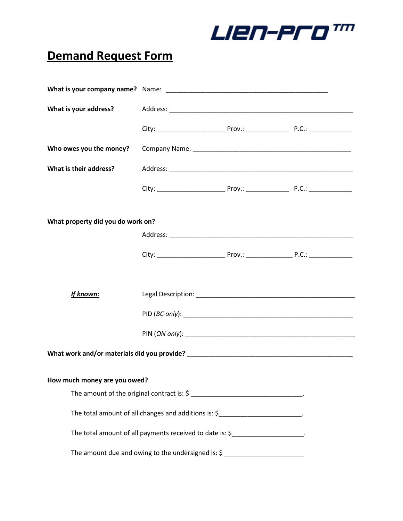**LIEN-ProW** 

## **Demand Request Form**

| What is your address?                                                              |  |  |  |  |
|------------------------------------------------------------------------------------|--|--|--|--|
|                                                                                    |  |  |  |  |
| Who owes you the money?                                                            |  |  |  |  |
| What is their address?                                                             |  |  |  |  |
|                                                                                    |  |  |  |  |
|                                                                                    |  |  |  |  |
| What property did you do work on?                                                  |  |  |  |  |
|                                                                                    |  |  |  |  |
|                                                                                    |  |  |  |  |
|                                                                                    |  |  |  |  |
| <b>If known:</b>                                                                   |  |  |  |  |
|                                                                                    |  |  |  |  |
|                                                                                    |  |  |  |  |
|                                                                                    |  |  |  |  |
| How much money are you owed?                                                       |  |  |  |  |
|                                                                                    |  |  |  |  |
| The total amount of all changes and additions is: \$____________________________.  |  |  |  |  |
| The total amount of all payments received to date is: \$________________________.  |  |  |  |  |
| The amount due and owing to the undersigned is: $\zeta$ __________________________ |  |  |  |  |